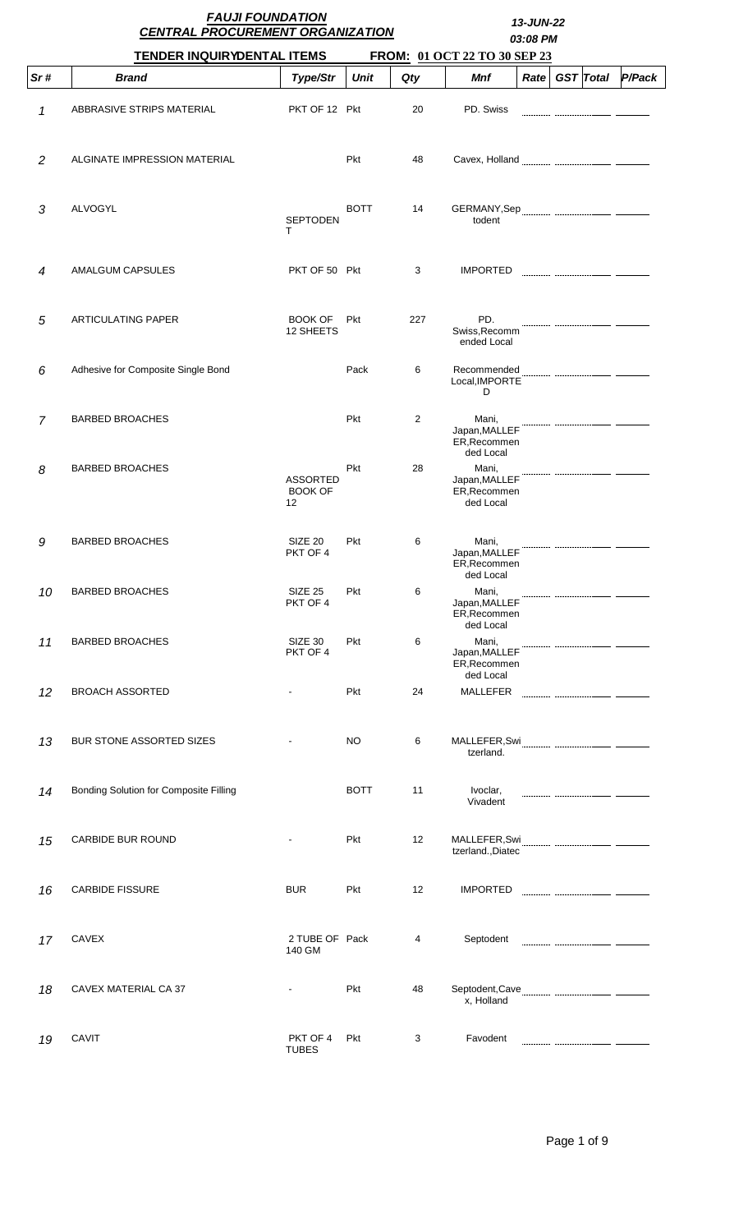|                | <b>FAUJI FOUNDATION</b><br><b>CENTRAL PROCUREMENT ORGANIZATION</b> |                                         | 13-JUN-22<br>03:08 PM |     |                                                     |                   |  |                  |        |
|----------------|--------------------------------------------------------------------|-----------------------------------------|-----------------------|-----|-----------------------------------------------------|-------------------|--|------------------|--------|
|                | <b>TENDER INQUIRYDENTAL ITEMS</b>                                  |                                         |                       |     | FROM: 01 OCT 22 TO 30 SEP 23                        |                   |  |                  |        |
| Sr#            | <b>Brand</b>                                                       | Type/Str                                | <b>Unit</b>           | Qty | Mnf                                                 | Rate <sub>1</sub> |  | <b>GST</b> Total | P/Pack |
| 1              | ABBRASIVE STRIPS MATERIAL                                          | PKT OF 12 Pkt                           |                       | 20  | PD. Swiss                                           |                   |  |                  |        |
| 2              | ALGINATE IMPRESSION MATERIAL                                       |                                         | <b>Pkt</b>            | 48  |                                                     |                   |  |                  |        |
| 3              | ALVOGYL                                                            | <b>SEPTODEN</b><br>т                    | <b>BOTT</b>           | 14  | todent                                              |                   |  |                  |        |
| 4              | AMALGUM CAPSULES                                                   | PKT OF 50 Pkt                           |                       | 3   | <b>IMPORTED</b>                                     |                   |  |                  |        |
| 5              | <b>ARTICULATING PAPER</b>                                          | <b>BOOK OF</b><br>12 SHEETS             | <b>Pkt</b>            | 227 | PD.<br>Swiss, Recomm<br>ended Local                 |                   |  |                  |        |
| 6              | Adhesive for Composite Single Bond                                 |                                         | Pack                  | 6   | Recommended<br>Local, IMPORTE<br>D                  |                   |  |                  |        |
| $\overline{7}$ | <b>BARBED BROACHES</b>                                             |                                         | Pkt                   | 2   | Mani,<br>Japan, MALLEF<br>ER, Recommen<br>ded Local |                   |  |                  |        |
| 8              | <b>BARBED BROACHES</b>                                             | <b>ASSORTED</b><br><b>BOOK OF</b><br>12 | Pkt                   | 28  | Mani,<br>Japan, MALLEF<br>ER, Recommen<br>ded Local |                   |  |                  |        |
| 9              | <b>BARBED BROACHES</b>                                             | SIZE <sub>20</sub><br>PKT OF 4          | Pkt                   | 6   | Mani,<br>Japan, MALLEF<br>ER, Recommen<br>ded Local |                   |  |                  |        |
| 10             | <b>BARBED BROACHES</b>                                             | SIZE 25<br>PKT OF 4                     | Pkt                   | 6   | Mani,<br>Japan, MALLEF<br>ER, Recommen<br>ded Local |                   |  |                  |        |
| 11             | <b>BARBED BROACHES</b>                                             | SIZE 30<br>PKT OF 4                     | <b>Pkt</b>            | 6   | Mani,<br>Japan, MALLEF<br>ER, Recommen<br>ded Local |                   |  |                  |        |
| 12             | <b>BROACH ASSORTED</b>                                             | ۰                                       | Pkt                   | 24  | <b>MALLEFER</b>                                     |                   |  |                  |        |
| 13             | <b>BUR STONE ASSORTED SIZES</b>                                    |                                         | NO                    | 6   | tzerland.                                           |                   |  |                  |        |
| 14             | Bonding Solution for Composite Filling                             |                                         | <b>BOTT</b>           | 11  | Ivoclar,<br>Vivadent                                |                   |  |                  |        |
| 15             | <b>CARBIDE BUR ROUND</b>                                           |                                         | Pkt                   | 12  | tzerland., Diatec                                   |                   |  |                  |        |
| 16             | <b>CARBIDE FISSURE</b>                                             | <b>BUR</b>                              | Pkt                   | 12  | <b>IMPORTED</b>                                     |                   |  |                  |        |
| 17             | <b>CAVEX</b>                                                       | 2 TUBE OF Pack<br>140 GM                |                       | 4   | Septodent                                           |                   |  |                  |        |
| 18             | CAVEX MATERIAL CA 37                                               |                                         | Pkt                   | 48  | x, Holland                                          |                   |  |                  |        |
| 19             | CAVIT                                                              | PKT OF 4<br><b>TUBES</b>                | Pkt                   | 3   | Favodent                                            |                   |  |                  |        |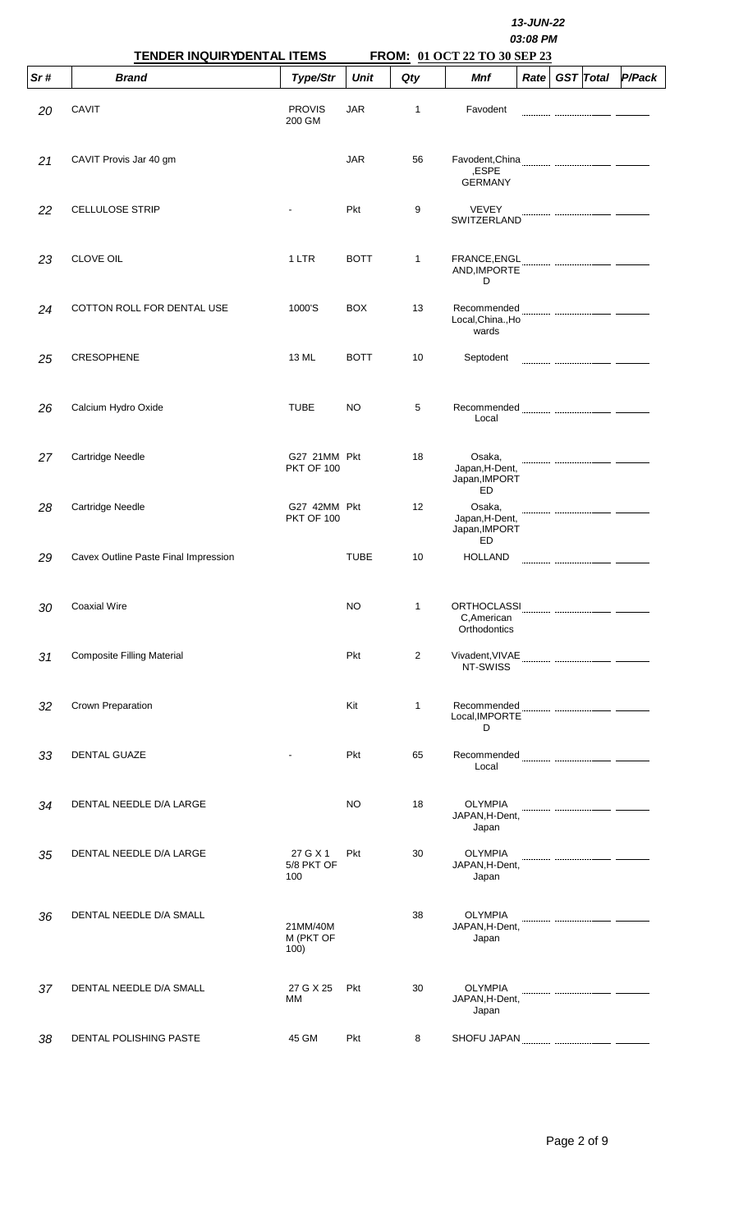|     | <b>TENDER INQUIRYDENTAL ITEMS</b>    |                                   |             | 13-JUN-22<br>03:08 PM<br>FROM: 01 OCT 22 TO 30 SEP 23 |                                                 |      |  |                  |        |  |  |  |  |
|-----|--------------------------------------|-----------------------------------|-------------|-------------------------------------------------------|-------------------------------------------------|------|--|------------------|--------|--|--|--|--|
| Sr# | <b>Brand</b>                         | Type/Str                          | <b>Unit</b> | Qty                                                   | Mnf                                             | Rate |  | <b>GST</b> Total | P/Pack |  |  |  |  |
| 20  | <b>CAVIT</b>                         | <b>PROVIS</b><br>200 GM           | <b>JAR</b>  | 1                                                     | Favodent                                        |      |  |                  |        |  |  |  |  |
| 21  | CAVIT Provis Jar 40 gm               |                                   | <b>JAR</b>  | 56                                                    | ,ESPE<br><b>GERMANY</b>                         |      |  |                  |        |  |  |  |  |
| 22  | <b>CELLULOSE STRIP</b>               |                                   | Pkt         | 9                                                     | <b>VEVEY</b><br>SWITZERLAND                     |      |  |                  |        |  |  |  |  |
| 23  | <b>CLOVE OIL</b>                     | 1 LTR                             | <b>BOTT</b> | 1                                                     | FRANCE, ENGL<br>AND, IMPORTE<br>D               |      |  |                  |        |  |  |  |  |
| 24  | COTTON ROLL FOR DENTAL USE           | 1000'S                            | <b>BOX</b>  | 13                                                    | Recommended<br>Local, China., Ho<br>wards       |      |  |                  |        |  |  |  |  |
| 25  | <b>CRESOPHENE</b>                    | 13 ML                             | <b>BOTT</b> | 10                                                    | Septodent                                       |      |  |                  |        |  |  |  |  |
| 26  | Calcium Hydro Oxide                  | <b>TUBE</b>                       | NO          | 5                                                     | Local                                           |      |  |                  |        |  |  |  |  |
| 27  | Cartridge Needle                     | G27 21MM Pkt<br><b>PKT OF 100</b> |             | 18                                                    | Osaka,<br>Japan, H-Dent,<br>Japan, IMPORT<br>ED |      |  |                  |        |  |  |  |  |
| 28  | Cartridge Needle                     | G27 42MM Pkt<br><b>PKT OF 100</b> |             | 12                                                    | Osaka,<br>Japan, H-Dent,<br>Japan, IMPORT       |      |  |                  |        |  |  |  |  |
| 29  | Cavex Outline Paste Final Impression |                                   | <b>TUBE</b> | 10                                                    | ED<br><b>HOLLAND</b>                            |      |  |                  |        |  |  |  |  |
| 30  | <b>Coaxial Wire</b>                  |                                   | <b>NO</b>   | $\mathbf{1}$                                          | C, American<br>Orthodontics                     |      |  |                  |        |  |  |  |  |
| 31  | <b>Composite Filling Material</b>    |                                   | Pkt         | $\overline{2}$                                        | NT-SWISS                                        |      |  |                  |        |  |  |  |  |
| 32  | Crown Preparation                    |                                   | Kit         | 1                                                     | Local, IMPORTE<br>D                             |      |  |                  |        |  |  |  |  |
| 33  | <b>DENTAL GUAZE</b>                  |                                   | Pkt         | 65                                                    | Local                                           |      |  |                  |        |  |  |  |  |
| 34  | DENTAL NEEDLE D/A LARGE              |                                   | NO          | 18                                                    | <b>OLYMPIA</b><br>JAPAN, H-Dent,<br>Japan       |      |  |                  |        |  |  |  |  |
| 35  | DENTAL NEEDLE D/A LARGE              | 27 G X 1<br>5/8 PKT OF<br>100     | <b>Pkt</b>  | 30                                                    | <b>OLYMPIA</b><br>JAPAN, H-Dent,<br>Japan       |      |  |                  |        |  |  |  |  |
| 36  | DENTAL NEEDLE D/A SMALL              | 21MM/40M<br>M (PKT OF<br>100)     |             | 38                                                    | <b>OLYMPIA</b><br>JAPAN, H-Dent,<br>Japan       |      |  |                  |        |  |  |  |  |
| 37  | DENTAL NEEDLE D/A SMALL              | 27 G X 25<br>MM                   | Pkt         | 30                                                    | <b>OLYMPIA</b><br>JAPAN, H-Dent,<br>Japan       |      |  |                  |        |  |  |  |  |
| 38  | DENTAL POLISHING PASTE               | 45 GM                             | <b>Pkt</b>  | 8                                                     |                                                 |      |  |                  |        |  |  |  |  |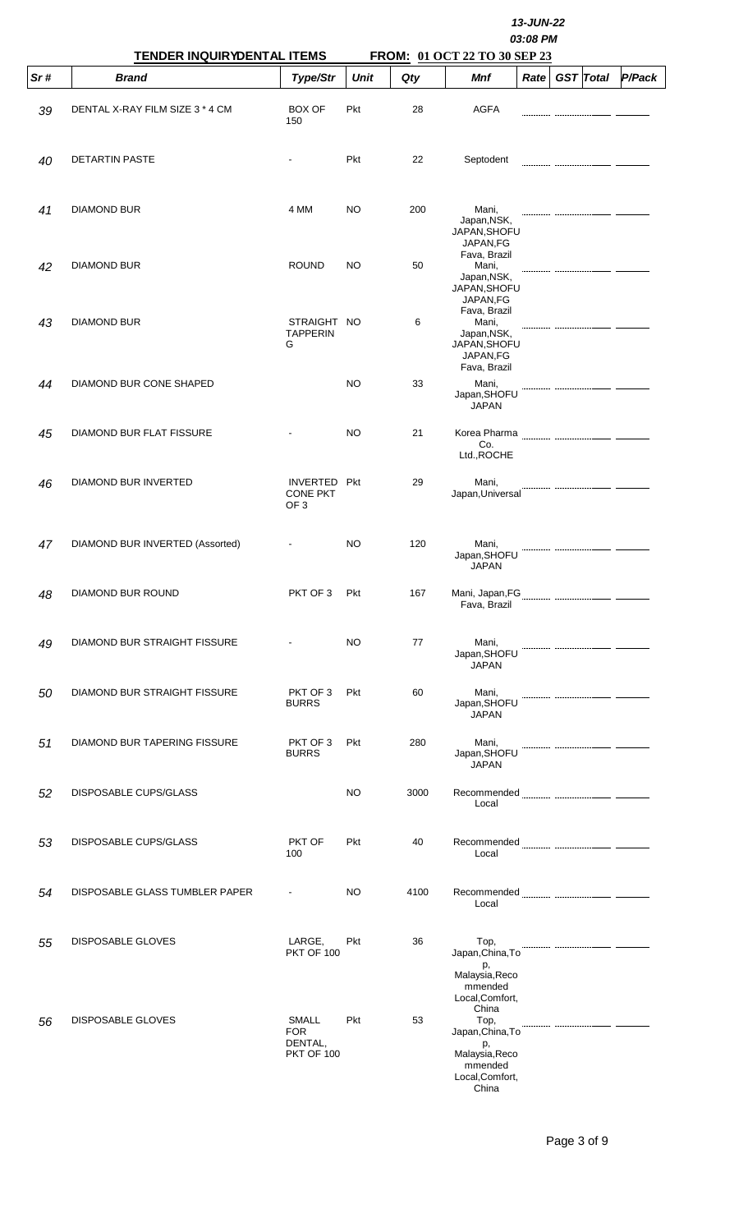|     | TENDER INQUIRYDENTAL ITEMS      |                                                     |             |      | 13-JUN-22<br>03:08 PM                                                                            |      |  |                  |        |
|-----|---------------------------------|-----------------------------------------------------|-------------|------|--------------------------------------------------------------------------------------------------|------|--|------------------|--------|
| Sr# | <b>Brand</b>                    | Type/Str                                            | <b>Unit</b> | Qty  | FROM: 01 OCT 22 TO 30 SEP 23<br><b>Mnf</b>                                                       | Rate |  | <b>GST</b> Total | P/Pack |
| 39  | DENTAL X-RAY FILM SIZE 3 * 4 CM | <b>BOX OF</b><br>150                                | Pkt         | 28   | <b>AGFA</b>                                                                                      |      |  |                  |        |
| 40  | <b>DETARTIN PASTE</b>           |                                                     | <b>Pkt</b>  | 22   | Septodent                                                                                        |      |  |                  |        |
| 41  | <b>DIAMOND BUR</b>              | 4 MM                                                | NO          | 200  | Mani,<br>Japan, NSK,<br>JAPAN, SHOFU<br>JAPAN,FG                                                 |      |  |                  |        |
| 42  | <b>DIAMOND BUR</b>              | <b>ROUND</b>                                        | NO          | 50   | Fava, Brazil<br>Mani,<br>Japan, NSK,<br>JAPAN, SHOFU<br>JAPAN,FG                                 |      |  |                  |        |
| 43  | <b>DIAMOND BUR</b>              | STRAIGHT NO<br><b>TAPPERIN</b><br>G                 |             | 6    | Fava, Brazil<br>Mani,<br>Japan, NSK,<br>JAPAN, SHOFU<br>JAPAN,FG<br>Fava, Brazil                 |      |  |                  |        |
| 44  | DIAMOND BUR CONE SHAPED         |                                                     | NO          | 33   | Mani,<br>Japan, SHOFU<br><b>JAPAN</b>                                                            |      |  |                  |        |
| 45  | DIAMOND BUR FLAT FISSURE        |                                                     | NO          | 21   | Korea Pharma<br>Co.<br>Ltd., ROCHE                                                               |      |  |                  |        |
| 46  | DIAMOND BUR INVERTED            | INVERTED Pkt<br><b>CONE PKT</b><br>OF <sub>3</sub>  |             | 29   | Mani,<br>Japan, Universal                                                                        |      |  |                  |        |
| 47  | DIAMOND BUR INVERTED (Assorted) |                                                     | NO          | 120  | Mani,<br>Japan, SHOFU<br><b>JAPAN</b>                                                            |      |  |                  |        |
| 48  | DIAMOND BUR ROUND               | PKT OF 3                                            | Pkt         | 167  | Fava, Brazil                                                                                     |      |  |                  |        |
| 49  | DIAMOND BUR STRAIGHT FISSURE    |                                                     | <b>NO</b>   | 77   | Mani,<br>Japan, SHOFU<br><b>JAPAN</b>                                                            |      |  |                  |        |
| 50  | DIAMOND BUR STRAIGHT FISSURE    | PKT OF 3<br><b>BURRS</b>                            | Pkt         | 60   | Mani,<br>Japan, SHOFU<br><b>JAPAN</b>                                                            |      |  |                  |        |
| 51  | DIAMOND BUR TAPERING FISSURE    | PKT OF 3<br><b>BURRS</b>                            | Pkt         | 280  | Mani,<br>Japan, SHOFU<br><b>JAPAN</b>                                                            |      |  |                  |        |
| 52  | <b>DISPOSABLE CUPS/GLASS</b>    |                                                     | <b>NO</b>   | 3000 | Recommended <b>Management Commentary (Recommended</b><br>Local                                   |      |  |                  |        |
| 53  | <b>DISPOSABLE CUPS/GLASS</b>    | PKT OF<br>100                                       | <b>Pkt</b>  | 40   | Local                                                                                            |      |  |                  |        |
| 54  | DISPOSABLE GLASS TUMBLER PAPER  |                                                     | <b>NO</b>   | 4100 | Local                                                                                            |      |  |                  |        |
| 55  | <b>DISPOSABLE GLOVES</b>        | LARGE,<br><b>PKT OF 100</b>                         | Pkt         | 36   | Top,<br>Japan, China, To<br>p,<br>Malaysia, Reco<br>mmended<br>Local, Comfort,                   |      |  |                  |        |
| 56  | <b>DISPOSABLE GLOVES</b>        | SMALL<br><b>FOR</b><br>DENTAL,<br><b>PKT OF 100</b> | Pkt         | 53   | China<br>Top,<br>Japan, China, To<br>p,<br>Malaysia, Reco<br>mmended<br>Local, Comfort,<br>China |      |  |                  |        |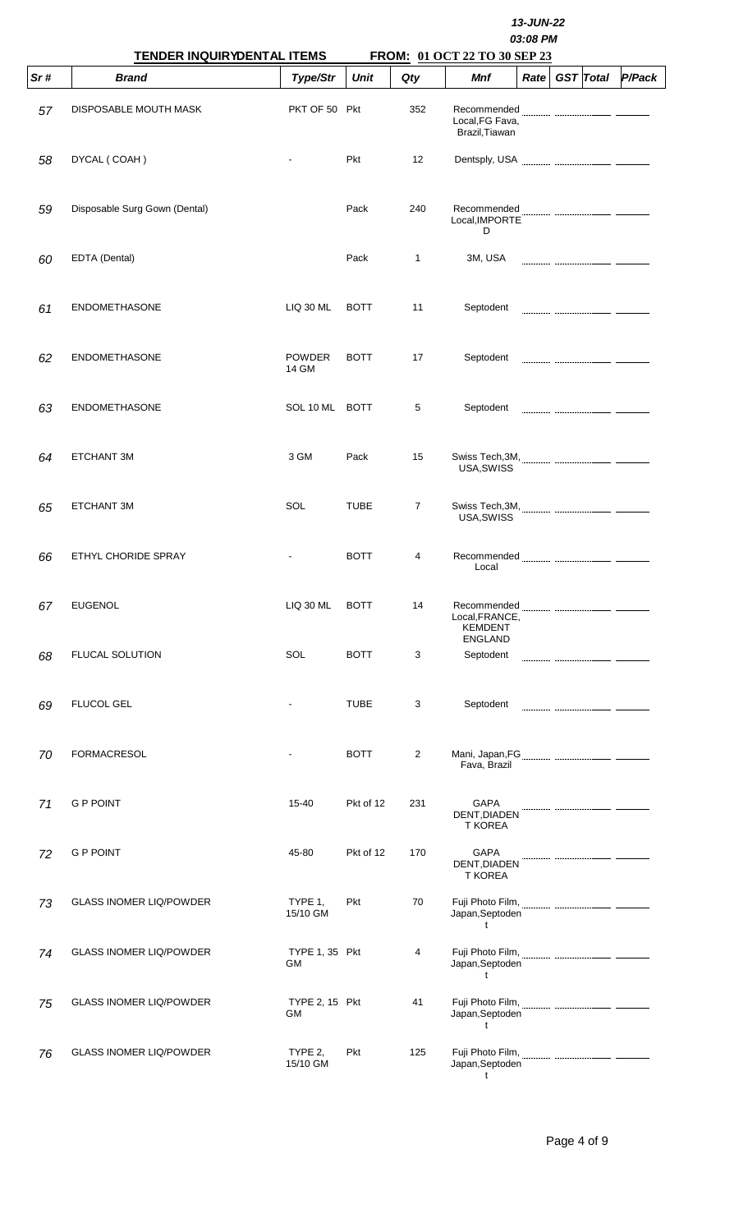|     | TENDER INQUIRYDENTAL ITEMS     |                             | 13-JUN-22<br>03:08 PM<br>FROM: 01 OCT 22 TO 30 SEP 23 |                |                                                  |      |  |                  |        |  |  |  |
|-----|--------------------------------|-----------------------------|-------------------------------------------------------|----------------|--------------------------------------------------|------|--|------------------|--------|--|--|--|
| Sr# | <b>Brand</b>                   | Type/Str                    | <b>Unit</b>                                           | Qty            | Mnf                                              | Rate |  | <b>GST</b> Total | P/Pack |  |  |  |
| 57  | DISPOSABLE MOUTH MASK          | PKT OF 50 Pkt               |                                                       | 352            | Recommended<br>Local, FG Fava,<br>Brazil, Tiawan |      |  |                  |        |  |  |  |
| 58  | DYCAL (COAH)                   |                             | Pkt                                                   | 12             |                                                  |      |  |                  |        |  |  |  |
| 59  | Disposable Surg Gown (Dental)  |                             | Pack                                                  | 240            | Recommended<br>Local, IMPORTE<br>D               |      |  |                  |        |  |  |  |
| 60  | EDTA (Dental)                  |                             | Pack                                                  | $\mathbf{1}$   | 3M, USA                                          |      |  |                  |        |  |  |  |
| 61  | <b>ENDOMETHASONE</b>           | <b>LIQ 30 ML</b>            | <b>BOTT</b>                                           | 11             | Septodent                                        |      |  |                  |        |  |  |  |
| 62  | <b>ENDOMETHASONE</b>           | <b>POWDER</b><br>14 GM      | <b>BOTT</b>                                           | 17             | Septodent                                        |      |  |                  |        |  |  |  |
| 63  | <b>ENDOMETHASONE</b>           | SOL 10 ML BOTT              |                                                       | 5              | Septodent                                        |      |  |                  |        |  |  |  |
| 64  | ETCHANT 3M                     | 3 GM                        | Pack                                                  | 15             | USA, SWISS                                       |      |  |                  |        |  |  |  |
| 65  | ETCHANT 3M                     | SOL                         | <b>TUBE</b>                                           | $\overline{7}$ | USA, SWISS                                       |      |  |                  |        |  |  |  |
| 66  | ETHYL CHORIDE SPRAY            |                             | <b>BOTT</b>                                           | 4              | Recommended<br>Local                             |      |  |                  |        |  |  |  |
| 67  | <b>EUGENOL</b>                 | <b>LIQ 30 ML</b>            | <b>BOTT</b>                                           | 14             | Local, FRANCE,<br><b>KEMDENT</b>                 |      |  |                  |        |  |  |  |
| 68  | <b>FLUCAL SOLUTION</b>         | SOL                         | <b>BOTT</b>                                           | 3              | <b>ENGLAND</b><br>Septodent                      |      |  |                  |        |  |  |  |
| 69  | <b>FLUCOL GEL</b>              |                             | <b>TUBE</b>                                           | 3              | Septodent                                        |      |  |                  |        |  |  |  |
| 70  | <b>FORMACRESOL</b>             |                             | <b>BOTT</b>                                           | $\overline{2}$ | Fava, Brazil                                     |      |  |                  |        |  |  |  |
| 71  | <b>G P POINT</b>               | $15 - 40$                   | Pkt of 12                                             | 231            | <b>GAPA</b><br>DENT, DIADEN<br><b>T KOREA</b>    |      |  |                  |        |  |  |  |
| 72  | <b>G P POINT</b>               | 45-80                       | Pkt of 12                                             | 170            | <b>GAPA</b><br>DENT, DIADEN<br><b>T KOREA</b>    |      |  |                  |        |  |  |  |
| 73  | <b>GLASS INOMER LIQ/POWDER</b> | TYPE 1,<br>15/10 GM         | <b>Pkt</b>                                            | 70             | Japan, Septoden<br>t                             |      |  |                  |        |  |  |  |
| 74  | <b>GLASS INOMER LIQ/POWDER</b> | TYPE 1, 35 Pkt<br>GМ        |                                                       | 4              | Japan, Septoden<br>$\mathsf{t}$                  |      |  |                  |        |  |  |  |
| 75  | <b>GLASS INOMER LIQ/POWDER</b> | <b>TYPE 2, 15 Pkt</b><br>GM |                                                       | 41             | Japan, Septoden<br>t                             |      |  |                  |        |  |  |  |
| 76  | <b>GLASS INOMER LIQ/POWDER</b> | TYPE 2.<br>15/10 GM         | Pkt                                                   | 125            | Japan, Septoden<br>t                             |      |  |                  |        |  |  |  |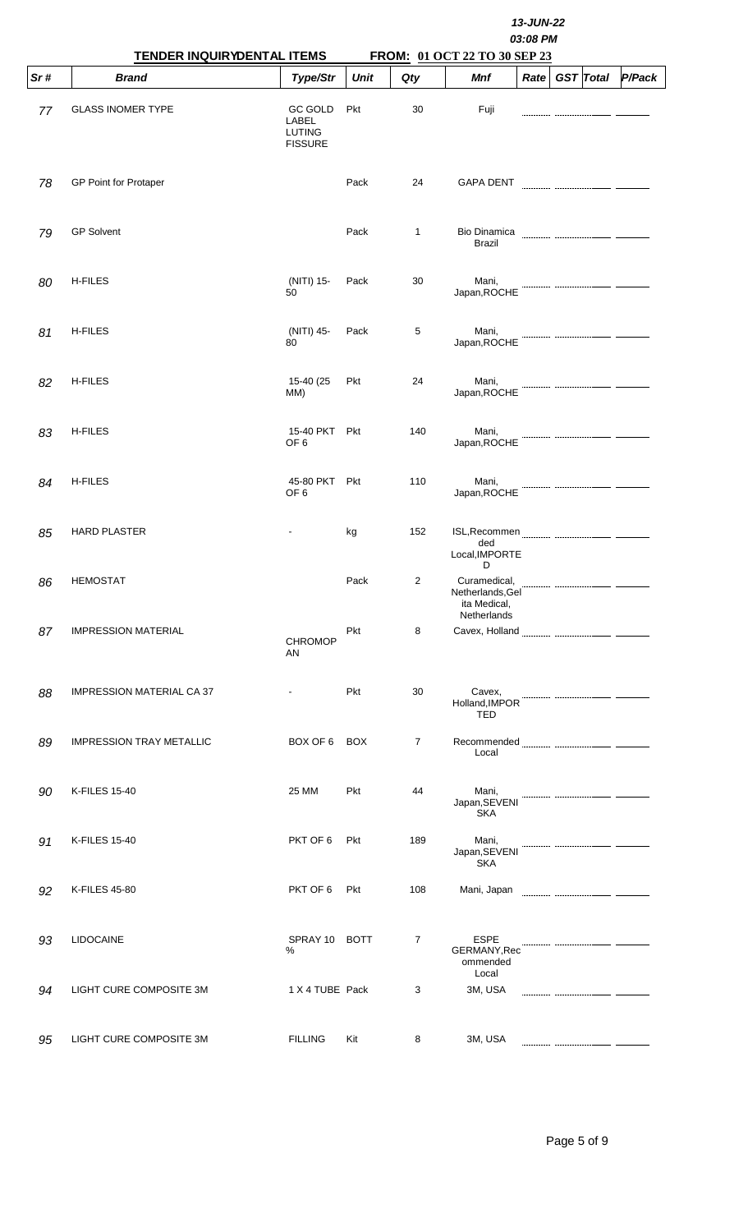|     | <b>TENDER INQUIRYDENTAL ITEMS</b> |                                                            | 13-JUN-22<br>03:08 PM<br>FROM: 01 OCT 22 TO 30 SEP 23 |                |                                                       |      |  |                  |        |  |  |  |
|-----|-----------------------------------|------------------------------------------------------------|-------------------------------------------------------|----------------|-------------------------------------------------------|------|--|------------------|--------|--|--|--|
| Sr# | <b>Brand</b>                      | Type/Str                                                   | <b>Unit</b>                                           | Qty            | Mnf                                                   | Rate |  | <b>GST</b> Total | P/Pack |  |  |  |
| 77  | <b>GLASS INOMER TYPE</b>          | <b>GC GOLD</b><br>LABEL<br><b>LUTING</b><br><b>FISSURE</b> | Pkt                                                   | 30             | Fuji                                                  |      |  |                  |        |  |  |  |
| 78  | <b>GP Point for Protaper</b>      |                                                            | Pack                                                  | 24             | <b>GAPA DENT</b>                                      |      |  |                  |        |  |  |  |
| 79  | <b>GP Solvent</b>                 |                                                            | Pack                                                  | 1              | <b>Bio Dinamica</b><br><b>Brazil</b>                  |      |  |                  |        |  |  |  |
| 80  | <b>H-FILES</b>                    | (NITI) 15-<br>50                                           | Pack                                                  | 30             | Mani,<br>Japan, ROCHE                                 |      |  |                  |        |  |  |  |
| 81  | <b>H-FILES</b>                    | (NITI) 45-<br>80                                           | Pack                                                  | 5              | Mani,<br>Japan, ROCHE                                 |      |  |                  |        |  |  |  |
| 82  | <b>H-FILES</b>                    | 15-40 (25<br>MM)                                           | Pkt                                                   | 24             | Mani,<br>Japan, ROCHE                                 |      |  |                  |        |  |  |  |
| 83  | <b>H-FILES</b>                    | 15-40 PKT<br>OF <sub>6</sub>                               | Pkt                                                   | 140            | Mani,<br>Japan, ROCHE                                 |      |  |                  |        |  |  |  |
| 84  | <b>H-FILES</b>                    | 45-80 PKT<br>OF <sub>6</sub>                               | Pkt                                                   | 110            | Mani,<br>Japan, ROCHE                                 |      |  |                  |        |  |  |  |
| 85  | <b>HARD PLASTER</b>               |                                                            | kg                                                    | 152            | ded<br>Local, IMPORTE                                 |      |  |                  |        |  |  |  |
| 86  | <b>HEMOSTAT</b>                   |                                                            | Pack                                                  | $\overline{2}$ | D<br>Curamedical,<br>Netherlands, Gel<br>ita Medical, |      |  |                  |        |  |  |  |
| 87  | <b>IMPRESSION MATERIAL</b>        | <b>CHROMOP</b><br>AN                                       | <b>Pkt</b>                                            | 8              | Netherlands<br>Cavex, Holland                         |      |  |                  |        |  |  |  |
| 88  | <b>IMPRESSION MATERIAL CA 37</b>  |                                                            | Pkt                                                   | 30             | Cavex,<br>Holland, IMPOR                              |      |  |                  |        |  |  |  |
| 89  | <b>IMPRESSION TRAY METALLIC</b>   | BOX OF 6                                                   | <b>BOX</b>                                            | $\overline{7}$ | <b>TED</b><br>Local                                   |      |  |                  |        |  |  |  |
| 90  | <b>K-FILES 15-40</b>              | 25 MM                                                      | <b>Pkt</b>                                            | 44             | Mani,<br>Japan, SEVENI<br><b>SKA</b>                  |      |  |                  |        |  |  |  |
| 91  | <b>K-FILES 15-40</b>              | PKT OF 6                                                   | Pkt                                                   | 189            | Mani,<br>Japan, SEVENI<br><b>SKA</b>                  |      |  |                  |        |  |  |  |
| 92  | <b>K-FILES 45-80</b>              | PKT OF 6                                                   | <b>Pkt</b>                                            | 108            | Mani, Japan <b>Mani, Mani, Mani, Mani, Japan</b>      |      |  |                  |        |  |  |  |
| 93  | <b>LIDOCAINE</b>                  | SPRAY 10 BOTT<br>%                                         |                                                       | $\overline{7}$ | <b>ESPE</b><br>GERMANY, Rec<br>ommended               |      |  |                  |        |  |  |  |
| 94  | LIGHT CURE COMPOSITE 3M           | 1 X 4 TUBE Pack                                            |                                                       | 3              | Local<br>3M, USA                                      |      |  |                  |        |  |  |  |
| 95  | LIGHT CURE COMPOSITE 3M           | <b>FILLING</b>                                             | Kit                                                   | 8              | 3M, USA                                               |      |  |                  |        |  |  |  |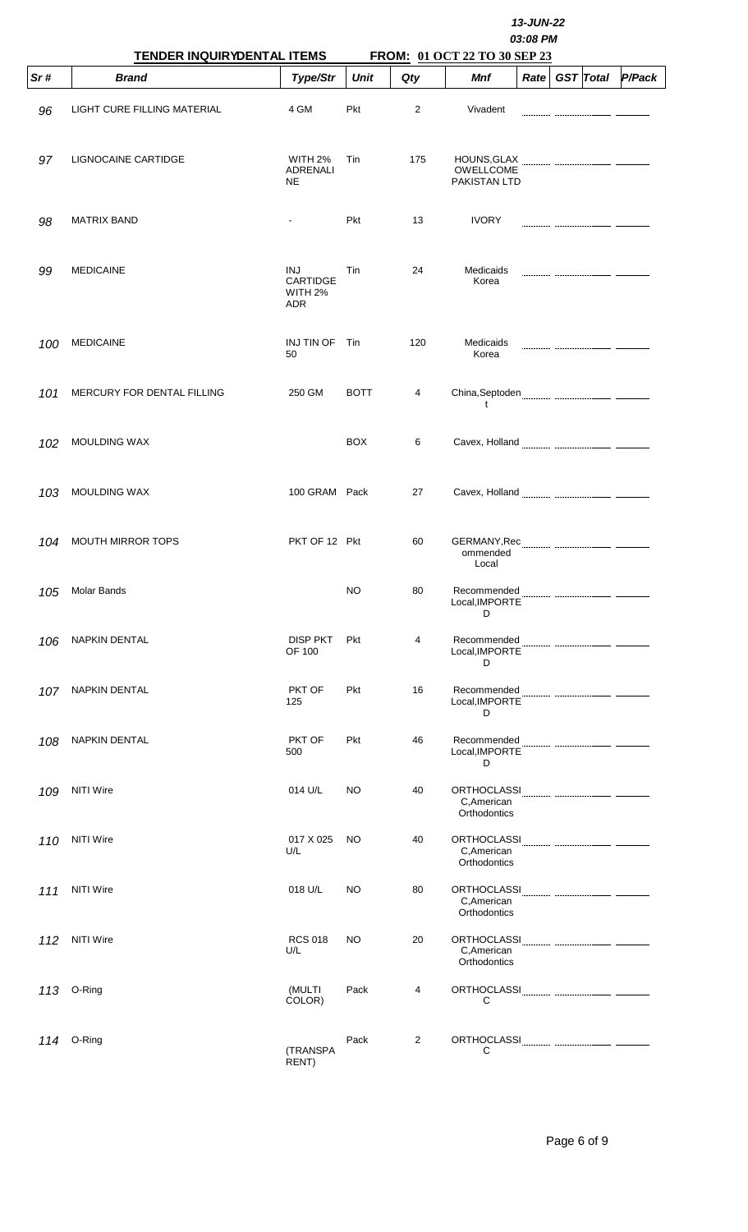|      | TENDER INQUIRYDENTAL ITEMS  |                                          |             |     |                                                   |      |  |                  |        |
|------|-----------------------------|------------------------------------------|-------------|-----|---------------------------------------------------|------|--|------------------|--------|
| Sr#  | <b>Brand</b>                | Type/Str                                 | <b>Unit</b> | Qty | FROM: 01 OCT 22 TO 30 SEP 23<br>Mnf               | Rate |  | <b>GST</b> Total | P/Pack |
| 96   | LIGHT CURE FILLING MATERIAL | 4 GM                                     | Pkt         | 2   | Vivadent                                          |      |  |                  |        |
| 97   | LIGNOCAINE CARTIDGE         | WITH 2%<br>ADRENALI<br><b>NE</b>         | Tin         | 175 | HOUNS, GLAX<br>OWELLCOME<br><b>PAKISTAN LTD</b>   |      |  |                  |        |
| 98   | <b>MATRIX BAND</b>          | $\blacksquare$                           | Pkt         | 13  | <b>IVORY</b>                                      |      |  |                  |        |
| 99   | <b>MEDICAINE</b>            | INJ<br>CARTIDGE<br>WITH 2%<br><b>ADR</b> | Tin         | 24  | Medicaids<br>Korea                                |      |  |                  |        |
| 100  | <b>MEDICAINE</b>            | INJ TIN OF<br>50                         | Tin         | 120 | Medicaids<br>Korea                                |      |  |                  |        |
| 101  | MERCURY FOR DENTAL FILLING  | 250 GM                                   | <b>BOTT</b> | 4   | t                                                 |      |  |                  |        |
| 102  | <b>MOULDING WAX</b>         |                                          | <b>BOX</b>  | 6   |                                                   |      |  |                  |        |
| 103  | <b>MOULDING WAX</b>         | 100 GRAM Pack                            |             | 27  |                                                   |      |  |                  |        |
| 104  | MOUTH MIRROR TOPS           | PKT OF 12 Pkt                            |             | 60  | ommended<br>Local                                 |      |  |                  |        |
| 105  | <b>Molar Bands</b>          |                                          | <b>NO</b>   | 80  | Recommended<br>Local, IMPORTE<br>D                |      |  |                  |        |
| 106  | <b>NAPKIN DENTAL</b>        | <b>DISP PKT</b><br>OF 100                | Pkt         | 4   | Recommended<br>Local, IMPORTE<br>D                |      |  |                  |        |
| 107. | <b>NAPKIN DENTAL</b>        | PKT OF<br>125                            | Pkt         | 16  | Recommended<br>Local, IMPORTE<br>D                |      |  |                  |        |
| 108  | <b>NAPKIN DENTAL</b>        | PKT OF<br>500                            | Pkt         | 46  | Recommended<br>Local, IMPORTE<br>D                |      |  |                  |        |
| 109  | <b>NITI Wire</b>            | 014 U/L                                  | NO          | 40  | <b>ORTHOCLASSI</b><br>C, American<br>Orthodontics |      |  |                  |        |
| 110  | <b>NITI Wire</b>            | 017 X 025<br>U/L                         | NO          | 40  | ORTHOCLASSI<br>C, American<br>Orthodontics        |      |  |                  |        |
| 111  | <b>NITI Wire</b>            | 018 U/L                                  | NO          | 80  | C, American<br>Orthodontics                       |      |  |                  |        |
| 112  | <b>NITI Wire</b>            | <b>RCS 018</b><br>U/L                    | NO          | 20  | <b>ORTHOCLASSI</b><br>C, American<br>Orthodontics |      |  |                  |        |
| 113  | O-Ring                      | (MULTI<br>COLOR)                         | Pack        | 4   | <b>ORTHOCLASSI</b><br>С                           |      |  |                  |        |
|      | 114 O-Ring                  | (TRANSPA<br>RENT)                        | Pack        | 2   | С                                                 |      |  |                  |        |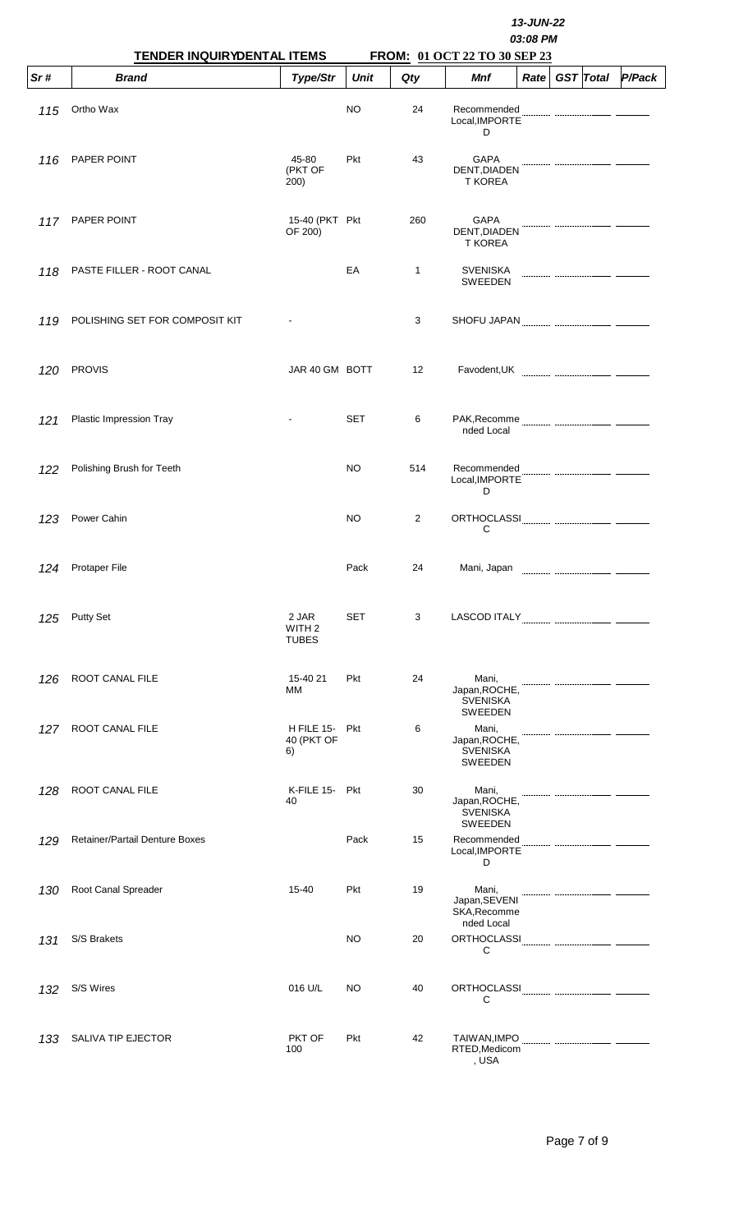|     | TENDER INQUIRYDENTAL ITEMS     |                                            | 13-JUN-22<br>03:08 PM<br>FROM: 01 OCT 22 TO 30 SEP 23 |              |                                                             |                   |  |                  |        |  |  |
|-----|--------------------------------|--------------------------------------------|-------------------------------------------------------|--------------|-------------------------------------------------------------|-------------------|--|------------------|--------|--|--|
| Sr# | <b>Brand</b>                   | Type/Str                                   | <b>Unit</b>                                           | Qty          | <b>Mnf</b>                                                  | Rate <sub>1</sub> |  | <b>GST</b> Total | P/Pack |  |  |
| 115 | Ortho Wax                      |                                            | NO                                                    | 24           | Recommended<br>Local, IMPORTE<br>D                          |                   |  |                  |        |  |  |
| 116 | PAPER POINT                    | 45-80<br>(PKT OF<br>200)                   | Pkt                                                   | 43           | <b>GAPA</b><br>DENT, DIADEN<br><b>T KOREA</b>               |                   |  |                  |        |  |  |
| 117 | PAPER POINT                    | 15-40 (PKT Pkt<br>OF 200)                  |                                                       | 260          | <b>GAPA</b><br>DENT, DIADEN<br><b>T KOREA</b>               |                   |  |                  |        |  |  |
| 118 | PASTE FILLER - ROOT CANAL      |                                            | EA                                                    | $\mathbf{1}$ | <b>SVENISKA</b><br><b>SWEEDEN</b>                           |                   |  |                  |        |  |  |
| 119 | POLISHING SET FOR COMPOSIT KIT |                                            |                                                       | 3            |                                                             |                   |  |                  |        |  |  |
| 120 | <b>PROVIS</b>                  | JAR 40 GM BOTT                             |                                                       | 12           |                                                             |                   |  |                  |        |  |  |
| 121 | Plastic Impression Tray        |                                            | <b>SET</b>                                            | 6            | nded Local                                                  |                   |  |                  |        |  |  |
| 122 | Polishing Brush for Teeth      |                                            | NO                                                    | 514          | Recommended<br>Local, IMPORTE<br>D                          |                   |  |                  |        |  |  |
| 123 | Power Cahin                    |                                            | NO                                                    | 2            | С                                                           |                   |  |                  |        |  |  |
| 124 | Protaper File                  |                                            | Pack                                                  | 24           | Mani, Japan                                                 |                   |  |                  |        |  |  |
| 125 | <b>Putty Set</b>               | 2 JAR<br>WITH <sub>2</sub><br><b>TUBES</b> | <b>SET</b>                                            | 3            |                                                             |                   |  |                  |        |  |  |
| 126 | ROOT CANAL FILE                | 15-40 21<br>МM                             | Pkt                                                   | 24           | Mani,<br>Japan, ROCHE,<br><b>SVENISKA</b><br><b>SWEEDEN</b> |                   |  |                  |        |  |  |
| 127 | ROOT CANAL FILE                | H FILE 15- Pkt<br>40 (PKT OF<br>6)         |                                                       | 6            | Mani,<br>Japan, ROCHE,<br><b>SVENISKA</b><br><b>SWEEDEN</b> |                   |  |                  |        |  |  |
| 128 | ROOT CANAL FILE                | K-FILE 15- Pkt<br>40                       |                                                       | 30           | Mani,<br>Japan, ROCHE,<br><b>SVENISKA</b><br>SWEEDEN        |                   |  |                  |        |  |  |
| 129 | Retainer/Partail Denture Boxes |                                            | Pack                                                  | 15           | Recommended<br>Local, IMPORTE<br>D                          |                   |  |                  |        |  |  |
| 130 | Root Canal Spreader            | $15 - 40$                                  | Pkt                                                   | 19           | Mani,<br>Japan, SEVENI<br>SKA, Recomme<br>nded Local        |                   |  |                  |        |  |  |
| 131 | S/S Brakets                    |                                            | NO                                                    | 20           | С                                                           |                   |  |                  |        |  |  |
| 132 | S/S Wires                      | 016 U/L                                    | NO                                                    | 40           | С                                                           |                   |  |                  |        |  |  |
| 133 | SALIVA TIP EJECTOR             | PKT OF<br>100                              | Pkt                                                   | 42           | RTED, Medicom<br>, USA                                      |                   |  |                  |        |  |  |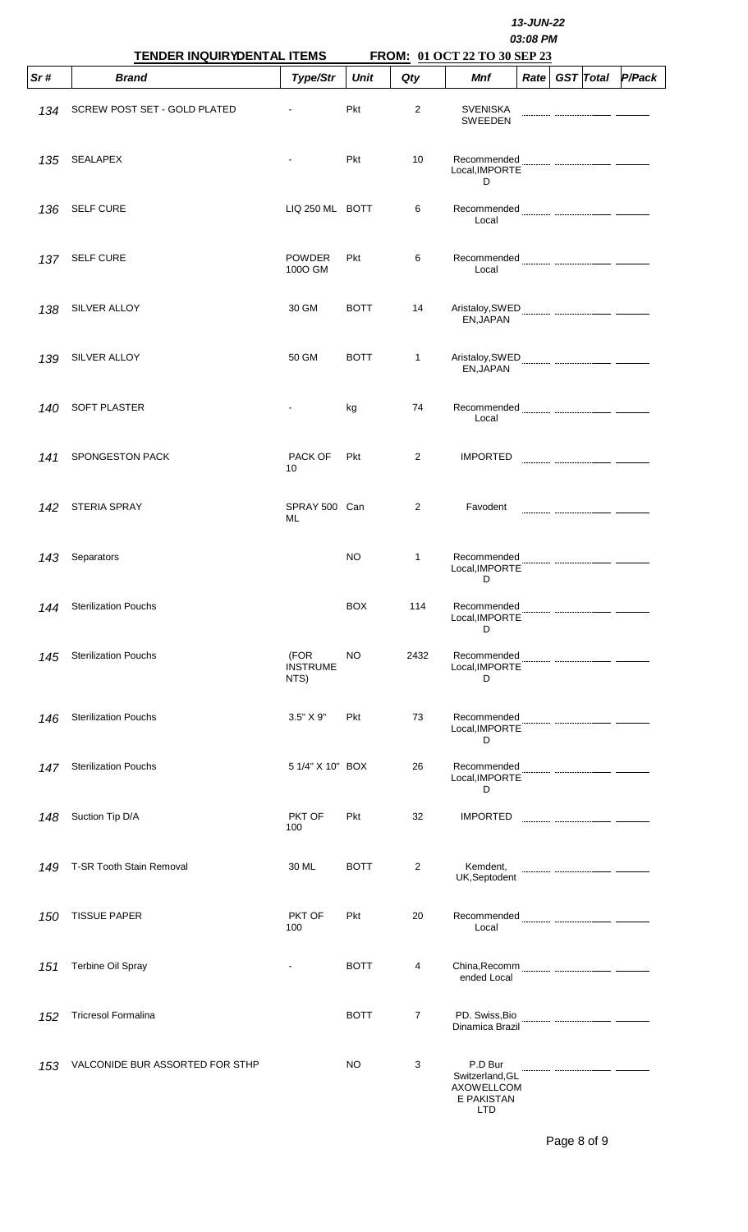|     | TENDER INQUIRYDENTAL ITEMS      |                                 | 13-JUN-22<br>03:08 PM<br>FROM: 01 OCT 22 TO 30 SEP 23 |                |                                                                      |      |  |                  |        |  |  |  |
|-----|---------------------------------|---------------------------------|-------------------------------------------------------|----------------|----------------------------------------------------------------------|------|--|------------------|--------|--|--|--|
| Sr# | <b>Brand</b>                    | Type/Str                        | <b>Unit</b>                                           | Qty            | Mnf                                                                  | Rate |  | <b>GST</b> Total | P/Pack |  |  |  |
| 134 | SCREW POST SET - GOLD PLATED    |                                 | Pkt                                                   | 2              | <b>SVENISKA</b><br><b>SWEEDEN</b>                                    |      |  |                  |        |  |  |  |
| 135 | <b>SEALAPEX</b>                 |                                 | Pkt                                                   | 10             | Recommended<br>Local.IMPORTE<br>D                                    |      |  |                  |        |  |  |  |
| 136 | <b>SELF CURE</b>                | LIQ 250 ML BOTT                 |                                                       | 6              | Local                                                                |      |  |                  |        |  |  |  |
| 137 | <b>SELF CURE</b>                | <b>POWDER</b><br>100O GM        | Pkt                                                   | 6              | Recommended<br>Local                                                 |      |  |                  |        |  |  |  |
| 138 | SILVER ALLOY                    | 30 GM                           | <b>BOTT</b>                                           | 14             | EN, JAPAN                                                            |      |  |                  |        |  |  |  |
| 139 | SILVER ALLOY                    | 50 GM                           | <b>BOTT</b>                                           | $\mathbf{1}$   | EN, JAPAN                                                            |      |  |                  |        |  |  |  |
| 140 | SOFT PLASTER                    |                                 | kg                                                    | 74             | Local                                                                |      |  |                  |        |  |  |  |
| 141 | SPONGESTON PACK                 | PACK OF<br>10                   | Pkt                                                   | 2              | <b>IMPORTED</b>                                                      |      |  |                  |        |  |  |  |
| 142 | <b>STERIA SPRAY</b>             | SPRAY 500 Can<br>ML             |                                                       | 2              | Favodent                                                             |      |  |                  |        |  |  |  |
| 143 | Separators                      |                                 | NO                                                    | 1              | Recommended<br>Local, IMPORTE<br>D                                   |      |  |                  |        |  |  |  |
| 144 | <b>Sterilization Pouchs</b>     |                                 | <b>BOX</b>                                            | 114            | Recommended<br>Local, IMPORTE<br>D                                   |      |  |                  |        |  |  |  |
| 145 | <b>Sterilization Pouchs</b>     | (FOR<br><b>INSTRUME</b><br>NTS) | NO                                                    | 2432           | Recommended<br>Local, IMPORTE<br>D                                   |      |  |                  |        |  |  |  |
| 146 | <b>Sterilization Pouchs</b>     | 3.5" X 9"                       | Pkt                                                   | 73             | Recommended<br>Local, IMPORTE<br>D                                   |      |  |                  |        |  |  |  |
| 147 | <b>Sterilization Pouchs</b>     | 5 1/4" X 10" BOX                |                                                       | 26             | Recommended<br>Local, IMPORTE<br>D                                   |      |  |                  |        |  |  |  |
| 148 | Suction Tip D/A                 | PKT OF<br>100                   | Pkt                                                   | 32             | <b>IMPORTED</b>                                                      |      |  |                  |        |  |  |  |
| 149 | T-SR Tooth Stain Removal        | 30 ML                           | <b>BOTT</b>                                           | 2              | Kemdent,<br>UK,Septodent                                             |      |  |                  |        |  |  |  |
| 150 | <b>TISSUE PAPER</b>             | PKT OF<br>100                   | Pkt                                                   | 20             | Recommended<br>Local                                                 |      |  |                  |        |  |  |  |
| 151 | Terbine Oil Spray               |                                 | <b>BOTT</b>                                           | 4              | ended Local                                                          |      |  |                  |        |  |  |  |
| 152 | <b>Tricresol Formalina</b>      |                                 | <b>BOTT</b>                                           | $\overline{7}$ | PD. Swiss, Bio<br>Dinamica Brazil                                    |      |  |                  |        |  |  |  |
| 153 | VALCONIDE BUR ASSORTED FOR STHP |                                 | NO                                                    | 3              | P.D Bur<br>Switzerland, GL<br><b>AXOWELLCOM</b><br>E PAKISTAN<br>חדו |      |  |                  |        |  |  |  |